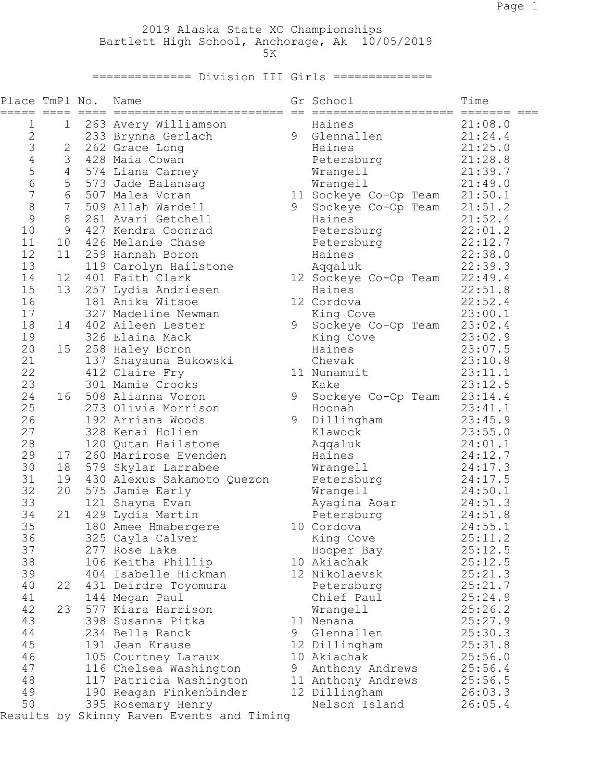2019 Alaska State XC Championships Bartlett High School, Anchorage, Ak 10/05/2019  $5K$ 

============== Division III Girls ==============

| Place TmPl No.<br>===== | $=====$        | Name                                              |   | Gr School                     | Time               |
|-------------------------|----------------|---------------------------------------------------|---|-------------------------------|--------------------|
| 1                       | 1              | 263 Avery Williamson                              |   | Haines                        | 21:08.0            |
| $\sqrt{2}$              |                | 233 Brynna Gerlach                                | 9 | Glennallen                    | 21:24.4            |
| 3                       | 2              | 262 Grace Long                                    |   | Haines                        | 21:25.0            |
| $\overline{4}$          | 3              | 428 Maia Cowan                                    |   | Petersburg                    | 21:28.8            |
| 5                       | $\overline{4}$ | 574 Liana Carney                                  |   | Wrangell                      | 21:39.7            |
| $\sqrt{6}$              | 5              | 573 Jade Balansag                                 |   | Wrangell                      | 21:49.0            |
| $\overline{7}$          | 6              | 507 Malea Voran                                   |   | 11 Sockeye Co-Op Team 21:50.1 |                    |
| 8                       | $\overline{7}$ | 509 Allah Wardell                                 | 9 | Sockeye Co-Op Team 21:51.2    |                    |
| 9                       | 8              | 261 Avari Getchell                                |   | Haines                        | 21:52.4            |
| 10                      | 9              | 427 Kendra Coonrad                                |   | Petersburg                    | 22:01.2            |
| 11                      | 10             | 426 Melanie Chase                                 |   | Petersburg                    | 22:12.7            |
| 12                      | 11             | 259 Hannah Boron                                  |   | Haines                        | 22:38.0            |
| 13                      |                | 119 Carolyn Hailstone                             |   | Aqqaluk                       | 22:39.3            |
| 14                      | 12             | 401 Faith Clark                                   |   | 12 Sockeye Co-Op Team 22:49.4 |                    |
| 15                      | 13             | 257 Lydia Andriesen                               |   | Haines                        | 22:51.8            |
| 16                      |                | 181 Anika Witsoe                                  |   | 12 Cordova                    | 22:52.4            |
| 17                      |                | 327 Madeline Newman                               |   | King Cove                     | 23:00.1            |
| 18                      | 14             | 402 Aileen Lester                                 | 9 | Sockeye Co-Op Team 23:02.4    |                    |
| 19                      |                | 326 Elaina Mack                                   |   | King Cove                     | 23:02.9            |
| 20                      | 15             | 258 Haley Boron                                   |   | Haines                        | 23:07.5            |
| 21                      |                | 137 Shayauna Bukowski                             |   | Chevak                        | 23:10.8            |
| 22                      |                | 412 Claire Fry                                    |   | 11 Nunamuit                   | 23:11.1            |
| 23                      |                | 301 Mamie Crooks                                  |   | Kake                          | 23:12.5            |
| 24                      | 16             | 508 Alianna Voron                                 | 9 | Sockeye Co-Op Team 23:14.4    |                    |
| 25                      |                | 273 Olivia Morrison                               |   | Hoonah                        | 23:41.1            |
| 26<br>27                |                | 192 Arriana Woods                                 | 9 | Dillingham                    | 23:45.9            |
| 28                      |                | 328 Kenai Holien                                  |   | Klawock                       | 23:55.0            |
| 29                      |                | 120 Qutan Hailstone                               |   | Aqqaluk                       | 24:01.1<br>24:12.7 |
| 30                      | 17<br>18       | 260 Marirose Evenden                              |   | Haines                        |                    |
| 31                      | 19             | 579 Skylar Larrabee<br>430 Alexus Sakamoto Quezon |   | Wrangell<br>Petersburg        | 24:17.3<br>24:17.5 |
| 32                      | 20             | 575 Jamie Early                                   |   | Wrangell                      | 24:50.1            |
| 33                      |                | 121 Shayna Evan                                   |   | Ayagina Aoar                  | 24:51.3            |
| 34                      | 21             | 429 Lydia Martin                                  |   | Petersburg                    | 24:51.8            |
| 35                      |                | 180 Amee Hmabergere                               |   | 10 Cordova                    | 24:55.1            |
| 36                      |                | 325 Cayla Calver                                  |   | King Cove                     | 25:11.2            |
| 37                      |                | 277 Rose Lake                                     |   | Hooper Bay                    | 25:12.5            |
| 38                      |                | 106 Keitha Phillip                                |   | 10 Akiachak                   | 25:12.5            |
| 39                      |                | 404 Isabelle Hickman                              |   | 12 Nikolaevsk                 | 25:21.3            |
| 40                      | 22             | 431 Deirdre Toyomura                              |   | Petersburg                    | 25:21.7            |
| 41                      |                | 144 Megan Paul                                    |   | Chief Paul                    | 25:24.9            |
| 42                      | 23             | 577 Kiara Harrison                                |   | Wrangell                      | 25:26.2            |
| 43                      |                | 398 Susanna Pitka                                 |   | 11 Nenana                     | 25:27.9            |
| 44                      |                | 234 Bella Ranck                                   |   | 9 Glennallen                  | 25:30.3            |
| 45                      |                | 191 Jean Krause                                   |   | 12 Dillingham                 | 25:31.8            |
| 46                      |                | 105 Courtney Laraux                               |   | 10 Akiachak                   | 25:56.0            |
| 47                      |                | 116 Chelsea Washington                            |   | 9 Anthony Andrews             | 25:56.4            |
| 48                      |                | 117 Patricia Washington                           |   | 11 Anthony Andrews            | 25:56.5            |
| 49                      |                | 190 Reagan Finkenbinder                           |   | 12 Dillingham                 | 26:03.3            |
| 50                      |                | 395 Rosemary Henry                                |   | Nelson Island                 | 26:05.4            |
|                         |                | Results by Skinny Raven Events and Timing         |   |                               |                    |